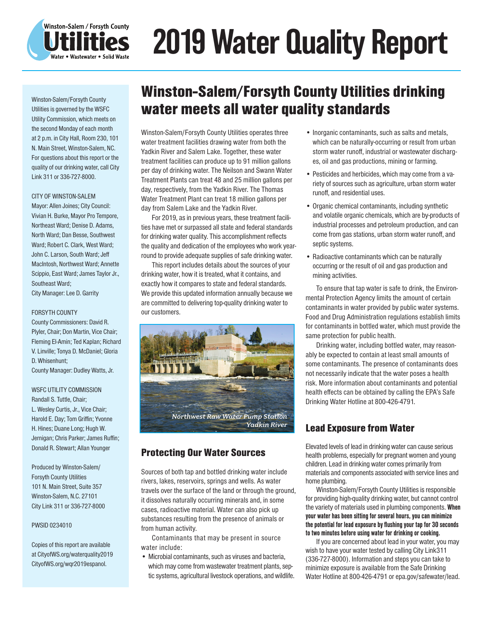

# 2019 Water Quality Report

Winston-Salem/Forsyth County Utilities is governed by the WSFC Utility Commission, which meets on the second Monday of each month at 2 p.m. in City Hall, Room 230, 101 N. Main Street, Winston-Salem, NC. For questions about this report or the quality of our drinking water, call City Link 311 or 336-727-8000.

### CITY OF WINSTON-SALEM

Mayor: Allen Joines; City Council: Vivian H. Burke, Mayor Pro Tempore, Northeast Ward; Denise D. Adams, North Ward; Dan Besse, Southwest Ward; Robert C. Clark, West Ward; John C. Larson, South Ward; Jeff MacIntosh, Northwest Ward; Annette Scippio, East Ward; James Taylor Jr., Southeast Ward; City Manager: Lee D. Garrity

#### FORSYTH COUNTY

County Commissioners: David R. Plyler, Chair; Don Martin, Vice Chair; Fleming El-Amin; Ted Kaplan; Richard V. Linville; Tonya D. McDaniel; Gloria D. Whisenhunt; County Manager: Dudley Watts, Jr.

WSFC UTILITY COMMISSION Randall S. Tuttle, Chair; L. Wesley Curtis, Jr., Vice Chair; Harold E. Day; Tom Griffin; Yvonne H. Hines; Duane Long; Hugh W. Jernigan; Chris Parker; James Ruffin; Donald R. Stewart; Allan Younger

Produced by Winston-Salem/ Forsyth County Utilities 101 N. Main Street, Suite 357 Winston-Salem, N.C. 27101 City Link 311 or 336-727-8000

#### PWSID 0234010

Copies of this report are available at CityofWS.org/waterquality2019 CityofWS.org/wqr2019espanol.

## Winston-Salem/Forsyth County Utilities drinking water meets all water quality standards

Winston-Salem/Forsyth County Utilities operates three water treatment facilities drawing water from both the Yadkin River and Salem Lake. Together, these water treatment facilities can produce up to 91 million gallons per day of drinking water. The Neilson and Swann Water Treatment Plants can treat 48 and 25 million gallons per day, respectively, from the Yadkin River. The Thomas Water Treatment Plant can treat 18 million gallons per day from Salem Lake and the Yadkin River.

For 2019, as in previous years, these treatment facilities have met or surpassed all state and federal standards for drinking water quality. This accomplishment reflects the quality and dedication of the employees who work yearround to provide adequate supplies of safe drinking water.

This report includes details about the sources of your drinking water, how it is treated, what it contains, and exactly how it compares to state and federal standards. We provide this updated information annually because we are committed to delivering top-quality drinking water to our customers.



## Protecting Our Water Sources

Sources of both tap and bottled drinking water include rivers, lakes, reservoirs, springs and wells. As water travels over the surface of the land or through the ground, it dissolves naturally occurring minerals and, in some cases, radioactive material. Water can also pick up substances resulting from the presence of animals or from human activity.

Contaminants that may be present in source water include:

• Microbial contaminants, such as viruses and bacteria, which may come from wastewater treatment plants, septic systems, agricultural livestock operations, and wildlife.

- Inorganic contaminants, such as salts and metals, which can be naturally-occurring or result from urban storm water runoff, industrial or wastewater discharges, oil and gas productions, mining or farming.
- Pesticides and herbicides, which may come from a variety of sources such as agriculture, urban storm water runoff, and residential uses.
- Organic chemical contaminants, including synthetic and volatile organic chemicals, which are by-products of industrial processes and petroleum production, and can come from gas stations, urban storm water runoff, and septic systems.
- Radioactive contaminants which can be naturally occurring or the result of oil and gas production and mining activities.

To ensure that tap water is safe to drink, the Environmental Protection Agency limits the amount of certain contaminants in water provided by public water systems. Food and Drug Administration regulations establish limits for contaminants in bottled water, which must provide the same protection for public health.

Drinking water, including bottled water, may reasonably be expected to contain at least small amounts of some contaminants. The presence of contaminants does not necessarily indicate that the water poses a health risk. More information about contaminants and potential health effects can be obtained by calling the EPA's Safe Drinking Water Hotline at 800-426-4791.

## Lead Exposure from Water

Elevated levels of lead in drinking water can cause serious health problems, especially for pregnant women and young children. Lead in drinking water comes primarily from materials and components associated with service lines and home plumbing.

Winston-Salem/Forsyth County Utilities is responsible for providing high-quality drinking water, but cannot control the variety of materials used in plumbing components. When your water has been sitting for several hours, you can minimize the potential for lead exposure by flushing your tap for 30 seconds to two minutes before using water for drinking or cooking.

If you are concerned about lead in your water, you may wish to have your water tested by calling City Link311 (336-727-8000). Information and steps you can take to minimize exposure is available from the Safe Drinking Water Hotline at 800-426-4791 or epa.gov/safewater/lead.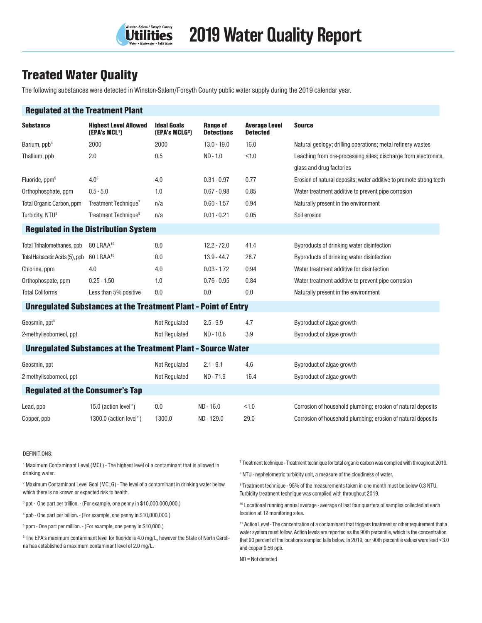

## Treated Water Quality

The following substances were detected in Winston-Salem/Forsyth County public water supply during the 2019 calendar year.

| <b>Regulated at the Treatment Plant</b> |                                                                       |                                                  |                                      |                                         |                                                                     |  |
|-----------------------------------------|-----------------------------------------------------------------------|--------------------------------------------------|--------------------------------------|-----------------------------------------|---------------------------------------------------------------------|--|
| <b>Substance</b>                        | <b>Highest Level Allowed</b><br>(EPA's MCL <sup>1</sup> )             | <b>Ideal Goals</b><br>(EPA's MCLG <sup>2</sup> ) | <b>Range of</b><br><b>Detections</b> | <b>Average Level</b><br><b>Detected</b> | <b>Source</b>                                                       |  |
| Barium, ppb <sup>4</sup>                | 2000                                                                  | 2000                                             | $13.0 - 19.0$                        | 16.0                                    | Natural geology; drilling operations; metal refinery wastes         |  |
| Thallium, ppb                           | 2.0                                                                   | 0.5                                              | ND - 1.0                             | < 1.0                                   | Leaching from ore-processing sites; discharge from electronics,     |  |
|                                         |                                                                       |                                                  |                                      |                                         | glass and drug factories                                            |  |
| Fluoride, ppm <sup>5</sup>              | 4.0 <sup>6</sup>                                                      | 4.0                                              | $0.31 - 0.97$                        | 0.77                                    | Erosion of natural deposits; water additive to promote strong teeth |  |
| Orthophosphate, ppm                     | $0.5 - 5.0$                                                           | 1.0                                              | $0.67 - 0.98$                        | 0.85                                    | Water treatment additive to prevent pipe corrosion                  |  |
| Total Organic Carbon, ppm               | Treatment Technique <sup>7</sup>                                      | n/a                                              | $0.60 - 1.57$                        | 0.94                                    | Naturally present in the environment                                |  |
| Turbidity, NTU <sup>8</sup>             | Treatment Technique <sup>9</sup>                                      | n/a                                              | $0.01 - 0.21$                        | 0.05                                    | Soil erosion                                                        |  |
|                                         | <b>Regulated in the Distribution System</b>                           |                                                  |                                      |                                         |                                                                     |  |
| Total Trihalomethanes, ppb              | 80 LRAA <sup>10</sup>                                                 | 0.0                                              | $12.2 - 72.0$                        | 41.4                                    | Byproducts of drinking water disinfection                           |  |
| Total Haloacetic Acids (5), ppb         | 60 LRAA <sup>10</sup>                                                 | 0.0                                              | $13.9 - 44.7$                        | 28.7                                    | Byproducts of drinking water disinfection                           |  |
| Chlorine, ppm                           | 4.0                                                                   | 4.0                                              | $0.03 - 1.72$                        | 0.94                                    | Water treatment additive for disinfection                           |  |
| Orthophospate, ppm                      | $0.25 - 1.50$                                                         | 1.0                                              | $0.76 - 0.95$                        | 0.84                                    | Water treatment additive to prevent pipe corrosion                  |  |
| <b>Total Coliforms</b>                  | Less than 5% positive                                                 | 0.0                                              | 0.0                                  | 0.0                                     | Naturally present in the environment                                |  |
|                                         | <b>Unregulated Substances at the Treatment Plant - Point of Entry</b> |                                                  |                                      |                                         |                                                                     |  |
| Geosmin, ppt <sup>3</sup>               |                                                                       | Not Regulated                                    | $2.5 - 9.9$                          | 4.7                                     | Byproduct of algae growth                                           |  |
| 2-methylisoborneol, ppt                 |                                                                       | <b>Not Regulated</b>                             | $ND - 10.6$                          | 3.9                                     | Byproduct of algae growth                                           |  |
|                                         | <b>Unregulated Substances at the Treatment Plant - Source Water</b>   |                                                  |                                      |                                         |                                                                     |  |
| Geosmin, ppt                            |                                                                       | <b>Not Regulated</b>                             | $2.1 - 9.1$                          | 4.6                                     | Byproduct of algae growth                                           |  |
| 2-methylisoborneol, ppt                 |                                                                       | <b>Not Regulated</b>                             | ND-71.9                              | 16.4                                    | Byproduct of algae growth                                           |  |
| <b>Regulated at the Consumer's Tap</b>  |                                                                       |                                                  |                                      |                                         |                                                                     |  |
| Lead, ppb                               | 15.0 (action level")                                                  | 0.0                                              | ND - 16.0                            | < 1.0                                   | Corrosion of household plumbing; erosion of natural deposits        |  |
| Copper, ppb                             | 1300.0 (action level")                                                | 1300.0                                           | ND-129.0                             | 29.0                                    | Corrosion of household plumbing; erosion of natural deposits        |  |

#### DEFINITIONS:

<sup>1</sup> Maximum Contaminant Level (MCL) - The highest level of a contaminant that is allowed in drinking water.

2 Maximum Contaminant Level Goal (MCLG) - The level of a contaminant in drinking water below which there is no known or expected risk to health.

<sup>3</sup> ppt - One part per trillion. - (For example, one penny in \$10,000,000,000.)

4 ppb - One part per billion. - (For example, one penny in \$10,000,000.)

5 ppm - One part per million. - (For example, one penny in \$10,000.)

 $6$  The EPA's maximum contaminant level for fluoride is 4.0 mg/L, however the State of North Carolina has established a maximum contaminant level of 2.0 mg/L.

<sup>7</sup> Treatment technique - Treatment technique for total organic carbon was complied with throughout 2019.

8 NTU - nephelometric turbidity unit, a measure of the cloudiness of water.

 $9$  Treatment technique - 95% of the measurements taken in one month must be below 0.3 NTU. Turbidity treatment technique was complied with throughout 2019.

<sup>10</sup> Locational running annual average - average of last four quarters of samples collected at each location at 12 monitoring sites.

<sup>11</sup> Action Level - The concentration of a contaminant that triggers treatment or other requirement that a water system must follow. Action levels are reported as the 90th percentile, which is the concentration that 90 percent of the locations sampled falls below. In 2019, our 90th percentile values were lead <3.0 and copper 0.56 ppb.

ND = Not detected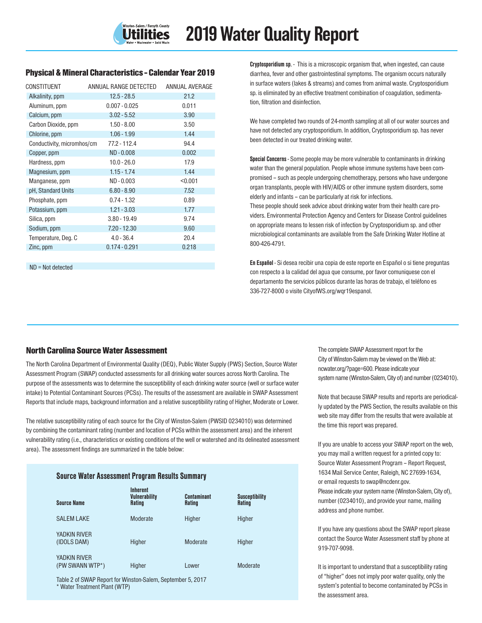## Physical & Mineral Characteristics - Calendar Year 2019

| CONSTITUENT                | ANNUAL RANGE DETECTED | ANNUAL AVERAGE |
|----------------------------|-----------------------|----------------|
| Alkalinity, ppm            | $12.5 - 28.5$         | 21.2           |
| Aluminum, ppm              | $0.007 - 0.025$       | 0.011          |
| Calcium, ppm               | $3.02 - 5.52$         | 3.90           |
| Carbon Dioxide, ppm        | $1.50 - 8.00$         | 3.50           |
| Chlorine, ppm              | $1.06 - 1.99$         | 1.44           |
| Conductivity, micromhos/cm | 77.2 - 112.4          | 94.4           |
| Copper, ppm                | $ND - 0.008$          | 0.002          |
| Hardness, ppm              | $10.0 - 26.0$         | 17.9           |
| Magnesium, ppm             | $1.15 - 1.74$         | 1.44           |
| Manganese, ppm             | $ND - 0.003$          | < 0.001        |
| pH, Standard Units         | $6.80 - 8.90$         | 7.52           |
| Phosphate, ppm             | $0.74 - 1.32$         | 0.89           |
| Potassium, ppm             | $1.21 - 3.03$         | 1.77           |
| Silica, ppm                | $3.80 - 19.49$        | 9.74           |
| Sodium, ppm                | $7.20 - 12.30$        | 9.60           |
| Temperature, Deg. C        | $4.0 - 36.4$          | 20.4           |
| Zinc, ppm                  | $0.174 - 0.291$       | 0.218          |

ND = Not detected

Cryptosporidium sp. - This is a microscopic organism that, when ingested, can cause diarrhea, fever and other gastrointestinal symptoms. The organism occurs naturally in surface waters (lakes & streams) and comes from animal waste. Cryptosporidium sp. is eliminated by an effective treatment combination of coagulation, sedimentation, filtration and disinfection.

We have completed two rounds of 24-month sampling at all of our water sources and have not detected any cryptosporidium. In addition, Cryptosporidium sp. has never been detected in our treated drinking water.

Special Concerns - Some people may be more vulnerable to contaminants in drinking water than the general population. People whose immune systems have been compromised – such as people undergoing chemotherapy, persons who have undergone organ transplants, people with HIV/AIDS or other immune system disorders, some elderly and infants – can be particularly at risk for infections.

These people should seek advice about drinking water from their health care providers. Environmental Protection Agency and Centers for Disease Control guidelines on appropriate means to lessen risk of infection by Cryptosporidium sp. and other microbiological contaminants are available from the Safe Drinking Water Hotline at 800-426-4791.

En Español - Si desea recibir una copia de este reporte en Español o si tiene preguntas con respecto a la calidad del agua que consume, por favor comuniquese con el departamento the servicios públicos durante las horas de trabajo, el teléfono es 336-727-8000 o visite CityofWS.org/wqr19espanol.

## North Carolina Source Water Assessment

The North Carolina Department of Environmental Quality (DEQ), Public Water Supply (PWS) Section, Source Water Assessment Program (SWAP) conducted assessments for all drinking water sources across North Carolina. The purpose of the assessments was to determine the susceptibility of each drinking water source (well or surface water intake) to Potential Contaminant Sources (PCSs). The results of the assessment are available in SWAP Assessment Reports that include maps, background information and a relative susceptibility rating of Higher, Moderate or Lower.

The relative susceptibility rating of each source for the City of Winston-Salem (PWSID 0234010) was determined by combining the contaminant rating (number and location of PCSs within the assessment area) and the inherent vulnerability rating (i.e., characteristics or existing conditions of the well or watershed and its delineated assessment area). The assessment findings are summarized in the table below:

| <b>Source Water Assessment Program Results Summary</b> |                                                          |                       |                                        |  |
|--------------------------------------------------------|----------------------------------------------------------|-----------------------|----------------------------------------|--|
| <b>Source Name</b>                                     | <b>Inherent</b><br><b>Vulnerability</b><br><b>Rating</b> | Contaminant<br>Rating | <b>Susceptibility</b><br><b>Rating</b> |  |
| SAI FM LAKE                                            | Moderate                                                 | Higher                | Higher                                 |  |
| YADKIN RIVER<br>(IDOLS DAM)                            | Higher                                                   | Moderate              | Higher                                 |  |
| YADKIN RIVFR<br>(PW SWANN WTP*)                        | Higher                                                   | Lower                 | Moderate                               |  |

Table 2 of SWAP Report for Winston-Salem, September 5, 2017 \* Water Treatment Plant (WTP)

The complete SWAP Assessment report for the City of Winston-Salem may be viewed on the Web at: ncwater.org/?page=600. Please indicate your system name (Winston-Salem, City of) and number (0234010).

Note that because SWAP results and reports are periodically updated by the PWS Section, the results available on this web site may differ from the results that were available at the time this report was prepared.

If you are unable to access your SWAP report on the web, you may mail a written request for a printed copy to: Source Water Assessment Program – Report Request, 1634 Mail Service Center, Raleigh, NC 27699-1634, or email requests to swap@ncdenr.gov. Please indicate your system name (Winston-Salem, City of), number (0234010), and provide your name, mailing address and phone number.

If you have any questions about the SWAP report please contact the Source Water Assessment staff by phone at 919-707-9098.

It is important to understand that a susceptibility rating of "higher" does not imply poor water quality, only the system's potential to become contaminated by PCSs in the assessment area.